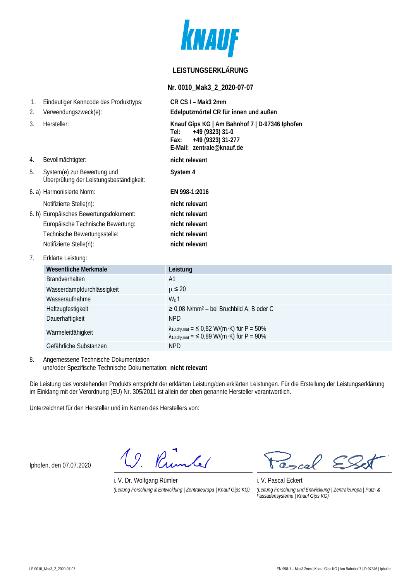

## **LEISTUNGSERKLÄRUNG**

**Nr. 0010\_Mak3\_2\_2020-07-07**

| 1.<br>2.      | Eindeutiger Kenncode des Produkttyps:<br>Verwendungszweck(e):                                                                                                     | CR CS I - Mak3 2mm<br>Edelputzmörtel CR für innen und außen                                                                         |
|---------------|-------------------------------------------------------------------------------------------------------------------------------------------------------------------|-------------------------------------------------------------------------------------------------------------------------------------|
| $\mathcal{E}$ | Hersteller:                                                                                                                                                       | Knauf Gips KG   Am Bahnhof 7   D-97346 Iphofen<br>+49 (9323) 31-0<br>Tel:<br>+49 (9323) 31-277<br>Fax:<br>E-Mail: zentrale@knauf.de |
| 4.            | Bevollmächtigter:                                                                                                                                                 | nicht relevant                                                                                                                      |
| 5.            | System(e) zur Bewertung und<br>Überprüfung der Leistungsbeständigkeit:                                                                                            | System 4                                                                                                                            |
|               | 6. a) Harmonisierte Norm:                                                                                                                                         | FN 998-1:2016                                                                                                                       |
|               | Notifizierte Stelle(n):<br>6. b) Europäisches Bewertungsdokument:<br>Europäische Technische Bewertung:<br>Technische Bewertungsstelle:<br>Notifizierte Stelle(n): | nicht relevant<br>nicht relevant<br>nicht relevant<br>nicht relevant<br>nicht relevant                                              |
| 7.            | Erklärte Leistung:                                                                                                                                                |                                                                                                                                     |
|               | <b>Wesentliche Merkmale</b>                                                                                                                                       | Leistung                                                                                                                            |
|               | <b>Brandverhalten</b>                                                                                                                                             | A <sub>1</sub>                                                                                                                      |
|               | Wasserdampfdurchlässigkeit                                                                                                                                        | $\mu \leq 20$                                                                                                                       |
|               | Wasseraufnahme                                                                                                                                                    | $W_c$ 1                                                                                                                             |

|  | Wasseraufnahme         | $Wc$ 1                                                                                                                    |
|--|------------------------|---------------------------------------------------------------------------------------------------------------------------|
|  | Haftzugfestigkeit      | $\geq$ 0,08 N/mm <sup>2</sup> – bei Bruchbild A, B oder C                                                                 |
|  | Dauerhaftigkeit        | NPD.                                                                                                                      |
|  | Wärmeleitfähigkeit     | $\lambda_{10, dry, mat} =$ < 0,82 W/(m·K) für P = 50%<br>$\lambda_{10, \text{dry,mat}} =$ $\leq$ 0,89 W/(m·K) für P = 90% |
|  | Gefährliche Substanzen | <b>NPD</b>                                                                                                                |

8. Angemessene Technische Dokumentation und/oder Spezifische Technische Dokumentation: **nicht relevant**

Die Leistung des vorstehenden Produkts entspricht der erklärten Leistung/den erklärten Leistungen. Für die Erstellung der Leistungserklärung im Einklang mit der Verordnung (EU) Nr. 305/2011 ist allein der oben genannte Hersteller verantwortlich.

Unterzeichnet für den Hersteller und im Namen des Herstellers von:

Iphofen, den 07.07.2020

19. Rumler

i. V. Dr. Wolfgang Rümler i. V. Pascal Eckert *(Leitung Forschung & Entwicklung | Zentraleuropa | Knauf Gips KG) (Leitung Forschung und Entwicklung | Zentraleuropa | Putz- &* 

 $\sum$ 

*Fassadensysteme | Knauf Gips KG)*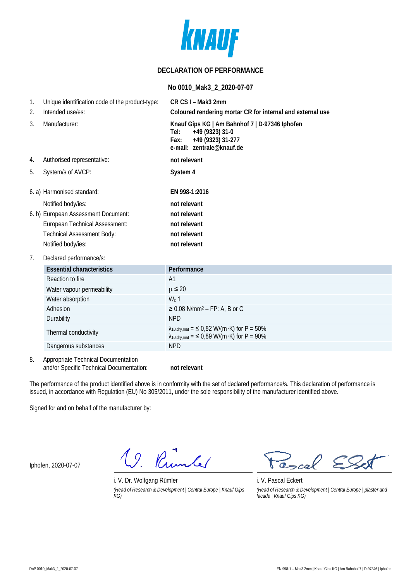

## **DECLARATION OF PERFORMANCE**

### **No 0010\_Mak3\_2\_2020-07-07**

| 1.                            | Unique identification code of the product-type: | CR CS I - Mak3 2mm                                                                                                                  |
|-------------------------------|-------------------------------------------------|-------------------------------------------------------------------------------------------------------------------------------------|
| 2.                            | Intended use/es:                                | Coloured rendering mortar CR for internal and external use                                                                          |
| 3.                            | Manufacturer:                                   | Knauf Gips KG   Am Bahnhof 7   D-97346 Iphofen<br>+49 (9323) 31-0<br>Tel:<br>+49 (9323) 31-277<br>Fax:<br>e-mail: zentrale@knauf.de |
| 4.                            | Authorised representative:                      | not relevant                                                                                                                        |
| 5.                            | System/s of AVCP:                               | System 4                                                                                                                            |
|                               | 6. a) Harmonised standard:                      | EN 998-1:2016                                                                                                                       |
|                               | Notified body/ies:                              | not relevant                                                                                                                        |
|                               | 6. b) European Assessment Document:             | not relevant                                                                                                                        |
|                               | European Technical Assessment:                  | not relevant                                                                                                                        |
|                               | Technical Assessment Body:                      | not relevant                                                                                                                        |
|                               | Notified body/ies:                              | not relevant                                                                                                                        |
| Declared performance/s:<br>7. |                                                 |                                                                                                                                     |
|                               | <b>Essential characteristics</b>                | Performance                                                                                                                         |
|                               | Reaction to fire                                | A <sub>1</sub>                                                                                                                      |
|                               | Water vapour permeability                       | $\mu \leq 20$                                                                                                                       |
|                               | Water absorption                                | $W_c$ 1                                                                                                                             |
|                               | Adhesion                                        | $\geq$ 0,08 N/mm <sup>2</sup> – FP: A, B or C                                                                                       |
|                               | Durability                                      | <b>NPD</b>                                                                                                                          |
|                               | Thermal conductivity                            | $\lambda_{10, dry, mat} =$ < 0,82 W/(m·K) for P = 50%<br>$\lambda_{10, dry, mat} =$ < 0,89 W/(m·K) for P = 90%                      |
|                               | Dangerous substances                            | <b>NPD</b>                                                                                                                          |
| 8.                            | Appropriate Technical Documentation             |                                                                                                                                     |

and/or Specific Technical Documentation: **not relevant**

The performance of the product identified above is in conformity with the set of declared performance/s. This declaration of performance is issued, in accordance with Regulation (EU) No 305/2011, under the sole responsibility of the manufacturer identified above.

Signed for and on behalf of the manufacturer by:

Iphofen, 2020-07-07

19. Rumber

i. V. Dr. Wolfgang Rümler i. V. Pascal Eckert *(Head of Research & Development | Central Europe | Knauf Gips KG)*

col

*(Head of Research & Development | Central Europe | plaster and facade | Knauf Gips KG)*